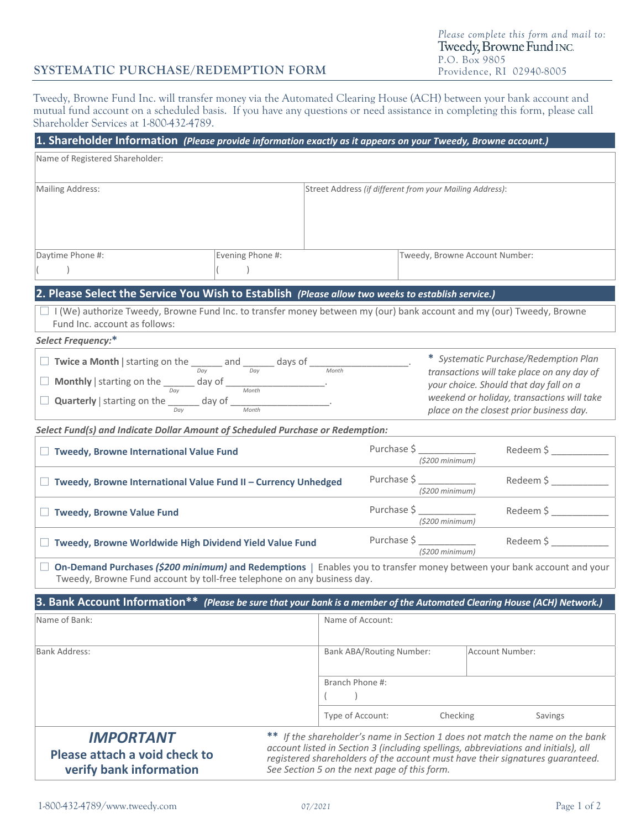# **SYSTEMATIC PURCHASE/REDEMPTION FORM**

Tweedy, Browne Fund Inc. will transfer money via the Automated Clearing House (ACH) between your bank account and mutual fund account on a scheduled basis. If you have any questions or need assistance in completing this form, please call Shareholder Services at 1-800-432-4789.

| 1. Shareholder Information (Please provide information exactly as it appears on your Tweedy, Browne account.)                                                                                                                                                                                                                                                                        |                  |                                                          |                                    |                                                                                                                                                                                                                         |  |
|--------------------------------------------------------------------------------------------------------------------------------------------------------------------------------------------------------------------------------------------------------------------------------------------------------------------------------------------------------------------------------------|------------------|----------------------------------------------------------|------------------------------------|-------------------------------------------------------------------------------------------------------------------------------------------------------------------------------------------------------------------------|--|
| Name of Registered Shareholder:                                                                                                                                                                                                                                                                                                                                                      |                  |                                                          |                                    |                                                                                                                                                                                                                         |  |
| <b>Mailing Address:</b>                                                                                                                                                                                                                                                                                                                                                              |                  | Street Address (if different from your Mailing Address): |                                    |                                                                                                                                                                                                                         |  |
| Daytime Phone #:                                                                                                                                                                                                                                                                                                                                                                     | Evening Phone #: |                                                          |                                    | Tweedy, Browne Account Number:                                                                                                                                                                                          |  |
|                                                                                                                                                                                                                                                                                                                                                                                      |                  |                                                          |                                    |                                                                                                                                                                                                                         |  |
| 2. Please Select the Service You Wish to Establish (Please allow two weeks to establish service.)                                                                                                                                                                                                                                                                                    |                  |                                                          |                                    |                                                                                                                                                                                                                         |  |
| I (We) authorize Tweedy, Browne Fund Inc. to transfer money between my (our) bank account and my (our) Tweedy, Browne<br>Fund Inc. account as follows:                                                                                                                                                                                                                               |                  |                                                          |                                    |                                                                                                                                                                                                                         |  |
| Select Frequency:*                                                                                                                                                                                                                                                                                                                                                                   |                  |                                                          |                                    |                                                                                                                                                                                                                         |  |
| <b>Twice a Month</b>   starting on the $\frac{1}{\sqrt{Day}}$ and $\frac{1}{\sqrt{Day}}$ days of $\frac{1}{\sqrt{Day}}$<br><b>Monthly</b>   starting on the $\frac{1}{\frac{Day}{Day}}$ day of <u>Month Month</u>                                                                                                                                                                    |                  |                                                          |                                    | * Systematic Purchase/Redemption Plan<br>transactions will take place on any day of<br>your choice. Should that day fall on a<br>weekend or holiday, transactions will take<br>place on the closest prior business day. |  |
| Select Fund(s) and Indicate Dollar Amount of Scheduled Purchase or Redemption:                                                                                                                                                                                                                                                                                                       |                  |                                                          |                                    |                                                                                                                                                                                                                         |  |
| Tweedy, Browne International Value Fund                                                                                                                                                                                                                                                                                                                                              |                  |                                                          | Purchase \$<br>$(5200 \, minimum)$ | Redeem \$                                                                                                                                                                                                               |  |
| Purchase \$<br>Redeem \$<br>Tweedy, Browne International Value Fund II - Currency Unhedged<br>$(5200 \, minimum)$                                                                                                                                                                                                                                                                    |                  |                                                          |                                    |                                                                                                                                                                                                                         |  |
| <b>Tweedy, Browne Value Fund</b>                                                                                                                                                                                                                                                                                                                                                     |                  |                                                          | Purchase \$<br>$( $200$ minimum)   | Redeem \$                                                                                                                                                                                                               |  |
| Tweedy, Browne Worldwide High Dividend Yield Value Fund                                                                                                                                                                                                                                                                                                                              |                  |                                                          | Purchase \$<br>$(5200 \, minimum)$ | Redeem \$                                                                                                                                                                                                               |  |
| On-Demand Purchases (\$200 minimum) and Redemptions   Enables you to transfer money between your bank account and your<br>Tweedy, Browne Fund account by toll-free telephone on any business day.                                                                                                                                                                                    |                  |                                                          |                                    |                                                                                                                                                                                                                         |  |
| 3. Bank Account Information** (Please be sure that your bank is a member of the Automated Clearing House (ACH) Network.)                                                                                                                                                                                                                                                             |                  |                                                          |                                    |                                                                                                                                                                                                                         |  |
| Name of Bank:                                                                                                                                                                                                                                                                                                                                                                        |                  | Name of Account:                                         |                                    |                                                                                                                                                                                                                         |  |
| <b>Bank Address:</b>                                                                                                                                                                                                                                                                                                                                                                 |                  | <b>Bank ABA/Routing Number:</b>                          |                                    | Account Number:                                                                                                                                                                                                         |  |
|                                                                                                                                                                                                                                                                                                                                                                                      |                  | Branch Phone #:                                          |                                    |                                                                                                                                                                                                                         |  |
|                                                                                                                                                                                                                                                                                                                                                                                      |                  | Type of Account:                                         | Checking                           | Savings                                                                                                                                                                                                                 |  |
| ** If the shareholder's name in Section 1 does not match the name on the bank<br><b>IMPORTANT</b><br>account listed in Section 3 (including spellings, abbreviations and initials), all<br>Please attach a void check to<br>registered shareholders of the account must have their signatures guaranteed.<br>verify bank information<br>See Section 5 on the next page of this form. |                  |                                                          |                                    |                                                                                                                                                                                                                         |  |